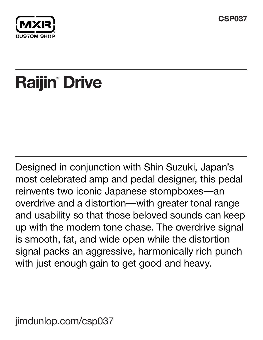



# Raijin<sup>®</sup> Drive

Designed in conjunction with Shin Suzuki, Japan's most celebrated amp and pedal designer, this pedal reinvents two iconic Japanese stompboxes—an overdrive and a distortion—with greater tonal range and usability so that those beloved sounds can keep up with the modern tone chase. The overdrive signal is smooth, fat, and wide open while the distortion signal packs an aggressive, harmonically rich punch with just enough gain to get good and heavy.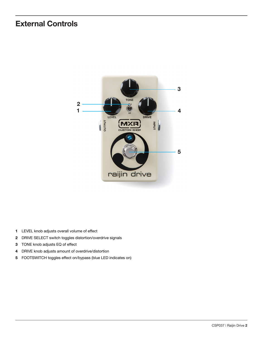## **External Controls**



- LEVEL knob adjusts overall volume of effect
- DRIVE SELECT switch toggles distortion/overdrive signals
- TONE knob adjusts EQ of effect
- DRIVE knob adjusts amount of overdrive/distortion
- FOOTSWITCH toggles effect on/bypass (blue LED indicates on)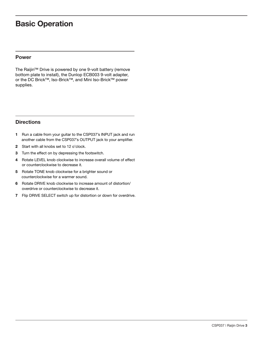### **Basic Operation**

#### **Power**

The Raijin™ Drive is powered by one 9-volt battery (remove bottom plate to install), the Dunlop ECB003 9-volt adapter, or the DC Brick™, Iso-Brick™, and Mini Iso-Brick™ power supplies.

#### **Directions**

- **1** Run a cable from your guitar to the CSP037's INPUT jack and run another cable from the CSP037's OUTPUT jack to your amplifier.
- **2** Start with all knobs set to 12 o'clock.
- **3** Turn the effect on by depressing the footswitch.
- **4** Rotate LEVEL knob clockwise to increase overall volume of effect or counterclockwise to decrease it.
- **5** Rotate TONE knob clockwise for a brighter sound or counterclockwise for a warmer sound.
- **6** Rotate DRIVE knob clockwise to increase amount of distortion/ overdrive or counterclockwise to decrease it.
- **7** Flip DRIVE SELECT switch up for distortion or down for overdrive.